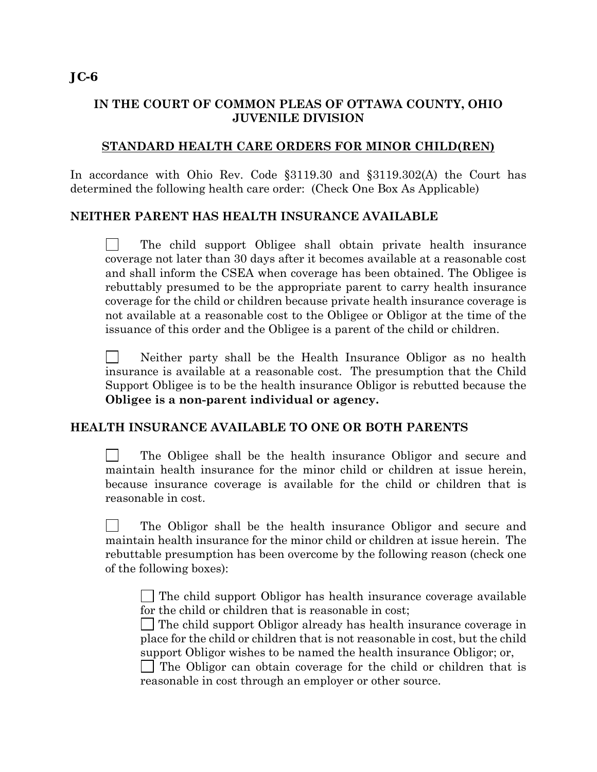## **IN THE COURT OF COMMON PLEAS OF OTTAWA COUNTY, OHIO JUVENILE DIVISION**

## **STANDARD HEALTH CARE ORDERS FOR MINOR CHILD(REN)**

In accordance with Ohio Rev. Code §3119.30 and §3119.302(A) the Court has determined the following health care order: (Check One Box As Applicable)

## **NEITHER PARENT HAS HEALTH INSURANCE AVAILABLE**

 The child support Obligee shall obtain private health insurance coverage not later than 30 days after it becomes available at a reasonable cost and shall inform the CSEA when coverage has been obtained. The Obligee is rebuttably presumed to be the appropriate parent to carry health insurance coverage for the child or children because private health insurance coverage is not available at a reasonable cost to the Obligee or Obligor at the time of the issuance of this order and the Obligee is a parent of the child or children.

 Neither party shall be the Health Insurance Obligor as no health insurance is available at a reasonable cost. The presumption that the Child Support Obligee is to be the health insurance Obligor is rebutted because the **Obligee is a non-parent individual or agency.**

## **HEALTH INSURANCE AVAILABLE TO ONE OR BOTH PARENTS**

 The Obligee shall be the health insurance Obligor and secure and maintain health insurance for the minor child or children at issue herein, because insurance coverage is available for the child or children that is reasonable in cost.

 The Obligor shall be the health insurance Obligor and secure and maintain health insurance for the minor child or children at issue herein. The rebuttable presumption has been overcome by the following reason (check one of the following boxes):

 $\Box$  The child support Obligor has health insurance coverage available for the child or children that is reasonable in cost;

 The child support Obligor already has health insurance coverage in place for the child or children that is not reasonable in cost, but the child support Obligor wishes to be named the health insurance Obligor; or,

 The Obligor can obtain coverage for the child or children that is reasonable in cost through an employer or other source.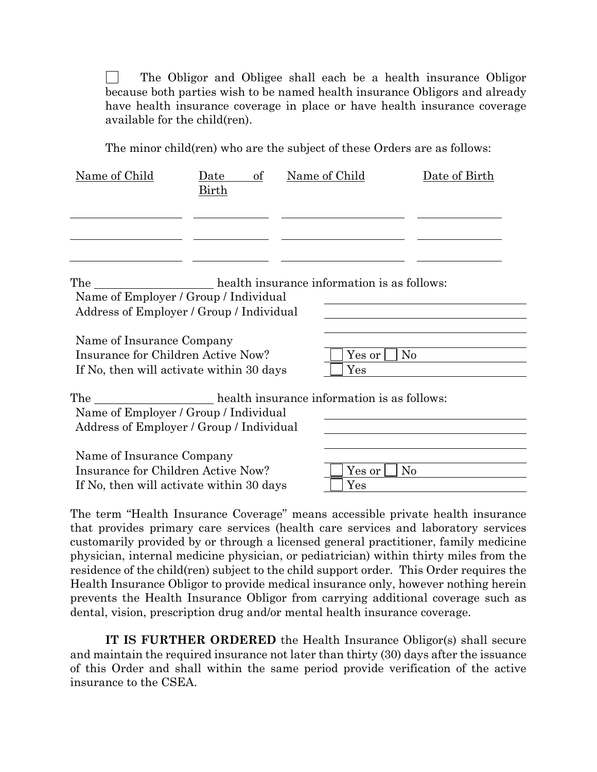The Obligor and Obligee shall each be a health insurance Obligor because both parties wish to be named health insurance Obligors and already have health insurance coverage in place or have health insurance coverage available for the child(ren).

The minor child(ren) who are the subject of these Orders are as follows:

| Name of Child                                                                                               | of<br>Date<br><u>Birth</u> | Name of Child                                   | Date of Birth |
|-------------------------------------------------------------------------------------------------------------|----------------------------|-------------------------------------------------|---------------|
|                                                                                                             |                            | The health insurance information is as follows: |               |
| Name of Employer / Group / Individual<br>Address of Employer / Group / Individual                           |                            |                                                 |               |
| Name of Insurance Company                                                                                   |                            |                                                 |               |
| Insurance for Children Active Now?<br>If No, then will activate within 30 days                              |                            | Yes or<br>$\operatorname{Yes}$                  | No            |
| Name of Employer / Group / Individual<br>Address of Employer / Group / Individual                           |                            | The health insurance information is as follows: |               |
| Name of Insurance Company<br>Insurance for Children Active Now?<br>If No, then will activate within 30 days |                            | Yes or<br>Yes                                   | $\rm No$      |

The term "Health Insurance Coverage" means accessible private health insurance that provides primary care services (health care services and laboratory services customarily provided by or through a licensed general practitioner, family medicine physician, internal medicine physician, or pediatrician) within thirty miles from the residence of the child(ren) subject to the child support order*.* This Order requires the Health Insurance Obligor to provide medical insurance only, however nothing herein prevents the Health Insurance Obligor from carrying additional coverage such as dental, vision, prescription drug and/or mental health insurance coverage.

**IT IS FURTHER ORDERED** the Health Insurance Obligor(s) shall secure and maintain the required insurance not later than thirty (30) days after the issuance of this Order and shall within the same period provide verification of the active insurance to the CSEA.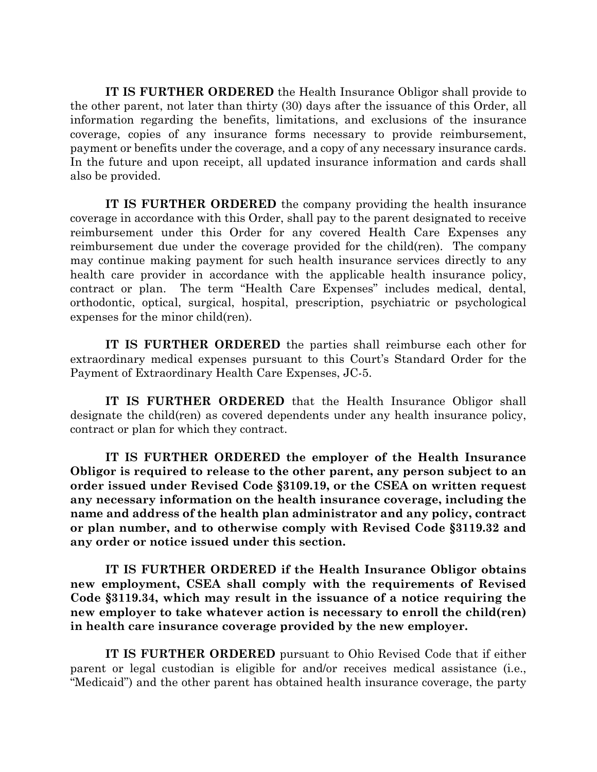**IT IS FURTHER ORDERED** the Health Insurance Obligor shall provide to the other parent, not later than thirty (30) days after the issuance of this Order, all information regarding the benefits, limitations, and exclusions of the insurance coverage, copies of any insurance forms necessary to provide reimbursement, payment or benefits under the coverage, and a copy of any necessary insurance cards. In the future and upon receipt, all updated insurance information and cards shall also be provided.

**IT IS FURTHER ORDERED** the company providing the health insurance coverage in accordance with this Order, shall pay to the parent designated to receive reimbursement under this Order for any covered Health Care Expenses any reimbursement due under the coverage provided for the child(ren). The company may continue making payment for such health insurance services directly to any health care provider in accordance with the applicable health insurance policy, contract or plan. The term "Health Care Expenses" includes medical, dental, orthodontic, optical, surgical, hospital, prescription, psychiatric or psychological expenses for the minor child(ren).

**IT IS FURTHER ORDERED** the parties shall reimburse each other for extraordinary medical expenses pursuant to this Court's Standard Order for the Payment of Extraordinary Health Care Expenses, JC-5.

**IT IS FURTHER ORDERED** that the Health Insurance Obligor shall designate the child(ren) as covered dependents under any health insurance policy, contract or plan for which they contract.

**IT IS FURTHER ORDERED the employer of the Health Insurance Obligor is required to release to the other parent, any person subject to an order issued under Revised Code §3109.19, or the CSEA on written request any necessary information on the health insurance coverage, including the name and address of the health plan administrator and any policy, contract or plan number, and to otherwise comply with Revised Code §3119.32 and any order or notice issued under this section.** 

**IT IS FURTHER ORDERED if the Health Insurance Obligor obtains new employment, CSEA shall comply with the requirements of Revised Code §3119.34, which may result in the issuance of a notice requiring the new employer to take whatever action is necessary to enroll the child(ren) in health care insurance coverage provided by the new employer.** 

**IT IS FURTHER ORDERED** pursuant to Ohio Revised Code that if either parent or legal custodian is eligible for and/or receives medical assistance (i.e., "Medicaid") and the other parent has obtained health insurance coverage, the party